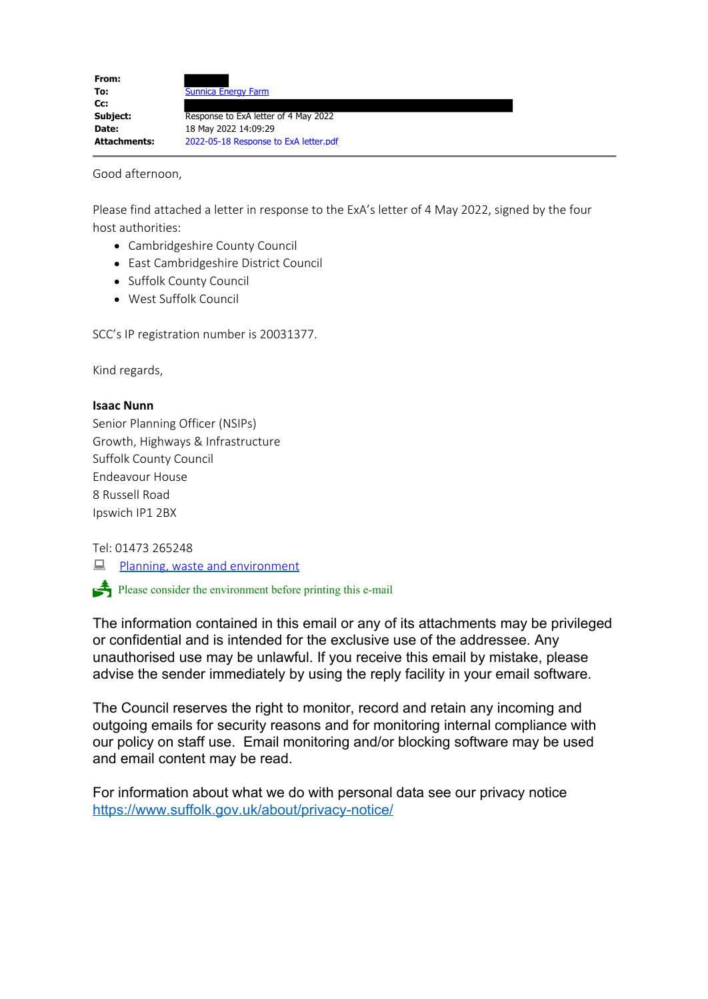| From:               |                                       |
|---------------------|---------------------------------------|
| To:                 | <b>Sunnica Energy Farm</b>            |
| cc:                 |                                       |
| Subject:            | Response to ExA letter of 4 May 2022  |
| Date:               | 18 May 2022 14:09:29                  |
| <b>Attachments:</b> | 2022-05-18 Response to ExA letter.pdf |

Good afternoon,

Please find attached a letter in response to the ExA's letter of 4 May 2022, signed by the four host authorities:

- Cambridgeshire County Council
- East Cambridgeshire District Council
- Suffolk County Council
- West Suffolk Council

SCC's IP registration number is 20031377.

Kind regards,

### **Isaac Nunn**

Senior Planning Officer (NSIPs) Growth, Highways & Infrastructure Suffolk County Council Endeavour House 8 Russell Road Ipswich IP1 2BX

### Tel: 01473 265248

**E** Planning, waste and environment

 $\bullet$  Please consider the environment before printing this e-mail

The information contained in this email or any of its attachments may be privileged or confidential and is intended for the exclusive use of the addressee. Any unauthorised use may be unlawful. If you receive this email by mistake, please advise the sender immediately by using the reply facility in your email software.

The Council reserves the right to monitor, record and retain any incoming and outgoing emails for security reasons and for monitoring internal compliance with our policy on staff use. Email monitoring and/or blocking software may be used and email content may be read.

For information about what we do with personal data see our privacy notice [https://www.suffolk.gov.uk/about/privacy-notice/](https://gbr01.safelinks.protection.outlook.com/?url=https%3A%2F%2Fwww.suffolk.gov.uk%2Fabout%2Fprivacy-notice%2F&data=05%7C01%7CSunnica%40planninginspectorate.gov.uk%7C41412d1a62d140ea7f6a08da38cfa361%7C5878df986f8848ab9322998ce557088d%7C0%7C0%7C637884761688810330%7CUnknown%7CTWFpbGZsb3d8eyJWIjoiMC4wLjAwMDAiLCJQIjoiV2luMzIiLCJBTiI6Ik1haWwiLCJXVCI6Mn0%3D%7C3000%7C%7C%7C&sdata=7qDVAnqRMHx5L2xnvaOjr%2BUdP3A%2FGAjevfxXYplklUg%3D&reserved=0)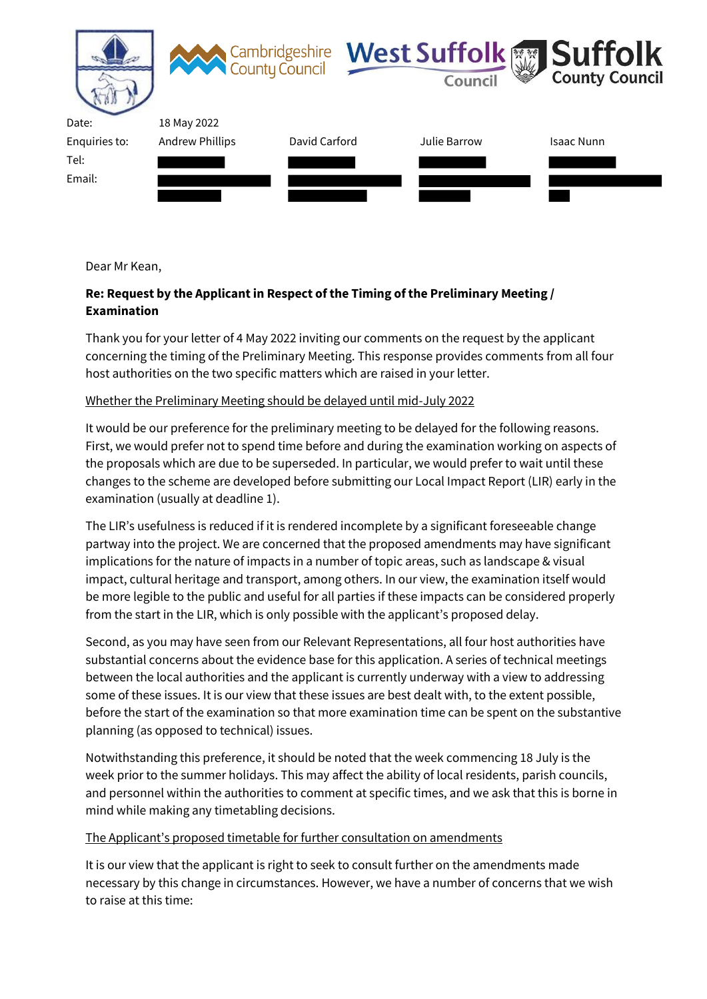

Dear Mr Kean,

# **Re: Request by the Applicant in Respect of the Timing of the Preliminary Meeting / Examination**

Thank you for your letter of 4 May 2022 inviting our comments on the request by the applicant concerning the timing of the Preliminary Meeting. This response provides comments from all four host authorities on the two specific matters which are raised in your letter.

## Whether the Preliminary Meeting should be delayed until mid-July 2022

It would be our preference for the preliminary meeting to be delayed for the following reasons. First, we would prefer not to spend time before and during the examination working on aspects of the proposals which are due to be superseded. In particular, we would prefer to wait until these changes to the scheme are developed before submitting our Local Impact Report (LIR) early in the examination (usually at deadline 1).

The LIR's usefulness is reduced if it is rendered incomplete by a significant foreseeable change partway into the project. We are concerned that the proposed amendments may have significant implications for the nature of impacts in a number of topic areas, such as landscape & visual impact, cultural heritage and transport, among others. In our view, the examination itself would be more legible to the public and useful for all parties if these impacts can be considered properly from the start in the LIR, which is only possible with the applicant's proposed delay.

Second, as you may have seen from our Relevant Representations, all four host authorities have substantial concerns about the evidence base for this application. A series of technical meetings between the local authorities and the applicant is currently underway with a view to addressing some of these issues. It is our view that these issues are best dealt with, to the extent possible, before the start of the examination so that more examination time can be spent on the substantive planning (as opposed to technical) issues.

Notwithstanding this preference, it should be noted that the week commencing 18 July is the week prior to the summer holidays. This may affect the ability of local residents, parish councils, and personnel within the authorities to comment at specific times, and we ask that this is borne in mind while making any timetabling decisions.

### The Applicant's proposed timetable for further consultation on amendments

It is our view that the applicant is right to seek to consult further on the amendments made necessary by this change in circumstances. However, we have a number of concerns that we wish to raise at this time: